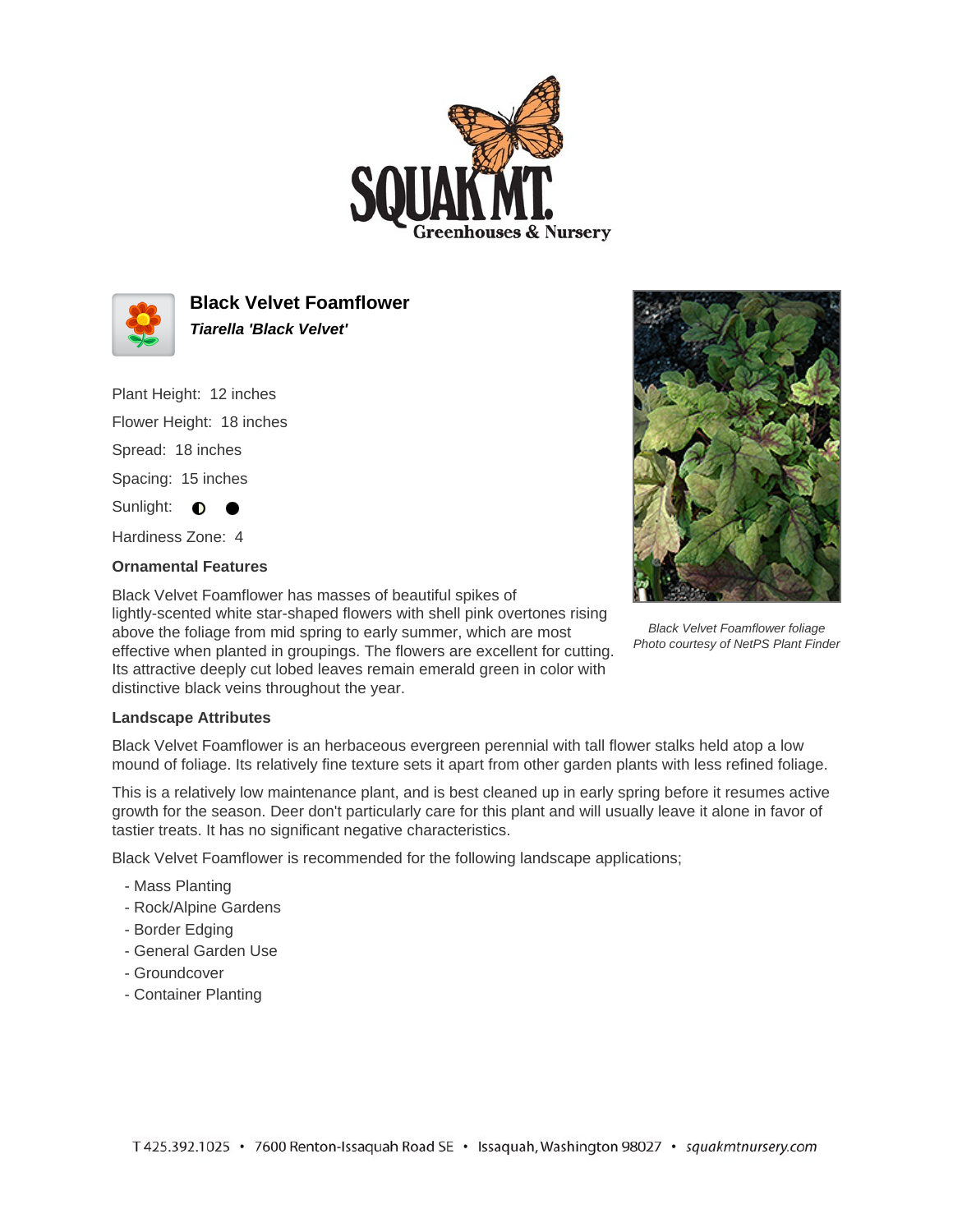



**Black Velvet Foamflower Tiarella 'Black Velvet'**

Plant Height: 12 inches

Flower Height: 18 inches Spread: 18 inches

Spacing: 15 inches

Sunlight: **0** 

Hardiness Zone: 4

## **Ornamental Features**

Black Velvet Foamflower has masses of beautiful spikes of lightly-scented white star-shaped flowers with shell pink overtones rising above the foliage from mid spring to early summer, which are most effective when planted in groupings. The flowers are excellent for cutting. Its attractive deeply cut lobed leaves remain emerald green in color with distinctive black veins throughout the year.



Black Velvet Foamflower foliage Photo courtesy of NetPS Plant Finder

## **Landscape Attributes**

Black Velvet Foamflower is an herbaceous evergreen perennial with tall flower stalks held atop a low mound of foliage. Its relatively fine texture sets it apart from other garden plants with less refined foliage.

This is a relatively low maintenance plant, and is best cleaned up in early spring before it resumes active growth for the season. Deer don't particularly care for this plant and will usually leave it alone in favor of tastier treats. It has no significant negative characteristics.

Black Velvet Foamflower is recommended for the following landscape applications;

- Mass Planting
- Rock/Alpine Gardens
- Border Edging
- General Garden Use
- Groundcover
- Container Planting